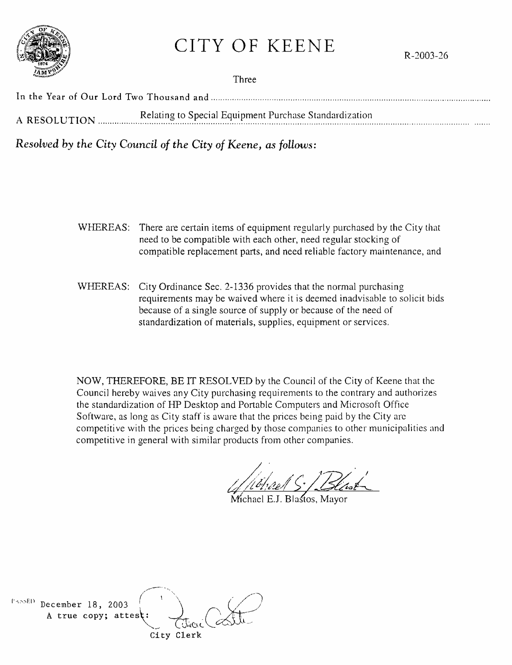# CITY OF KEENE

R-2003-26



In the Year of Our Lord Two Thousand and ....................................................................................................................... .

A RESOLUTION Election Relating to Special Equipment Purchase Standardization

*Resolved by the City Council of the City of Keene, as follows:* 

- WHEREAS: There are certain items of equipment regularly purchased by the City that need to be compatible with each other, need regular stocking of compatible replacement parts, and need reliable factory maintenance, and
- WHEREAS: City Ordinance Sec. 2-1336 provides that the normal purchasing requirements may be waived where it is deemed inadvisable to solicit bids because of a single source of supply or because of the need of standardization of materials, supplies, equipment or services.

NOW, THEREFORE, BE IT RESOLVED by the Council of the City of Keene that the Council hereby waives any City purchasing requirements to the contrary and authorizes the standardization of HP Desktop and Portable Computers and Microsoft Office Software, as long as City staff is aware that the prices being paid by the City arc competitive with the prices being charged by those companies to other municipalities and competitive in general with similar products from other companies.

 $\sqrt{2}$  $^{\text{PASSED}}$  December 18, 2003 A true copy; attest City Clerk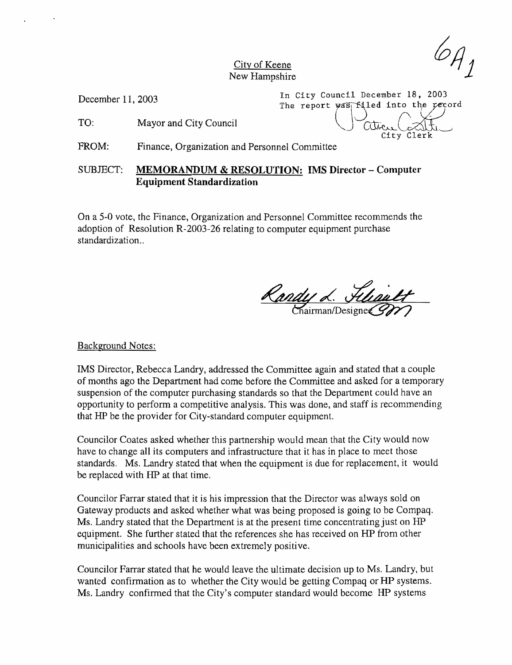$^2A_J$ 

City of Keene New Hampshire

December 11, 2003

In City Council December 18, 2003 The report was filled into the record The report was filled into the record<br>TO: Mayor and City Council ( ) City Clerk<br>City Clerk

FROM: Finance, Organization and Personnel Committee

SUBJECT: MEMORANDUM & RESOLUTION: IMS Director - Computer Equipment Standardization

On a 5-0 vote, the Finance, Organization and Personnel Committee recommends the adoption of Resolution R-2003-26 relating to computer equipment purchase standardization..

<u>Randy L. Fliault</u>

#### Background Notes:

IMS Director, Rebecca Landry, addressed the Committee again and stated that a couple of months ago the Department had come before the Committee and asked for a temporary suspension of the computer purchasing standards so that the Department could have an opportunity to perform a competitive analysis. This was done, and staff is recommending that HP be the provider for City-standard computer equipment.

Councilor Coates asked whether this partnership would mean that the City would now have to change all its computers and infrastructure that it has in place to meet those standards. Ms. Landry stated that when the equipment is due for replacement, it would be replaced with HP at that time.

Councilor Farrar stated that it is his impression that the Director was always sold on Gateway products and asked whether what was being proposed is going to be Compaq. Ms. Landry stated that the Department is at the present time concentrating just on HP equipment. She further stated that the references she has received on HP from other municipalities and schools have been extremely positive.

Councilor Farrar stated that he would leave the ultimate decision up to Ms. Landry, but wanted confirmation as to whether the City would be getting Compaq or HP systems. Ms. Landry confirmed that the City's computer standard would become HP systems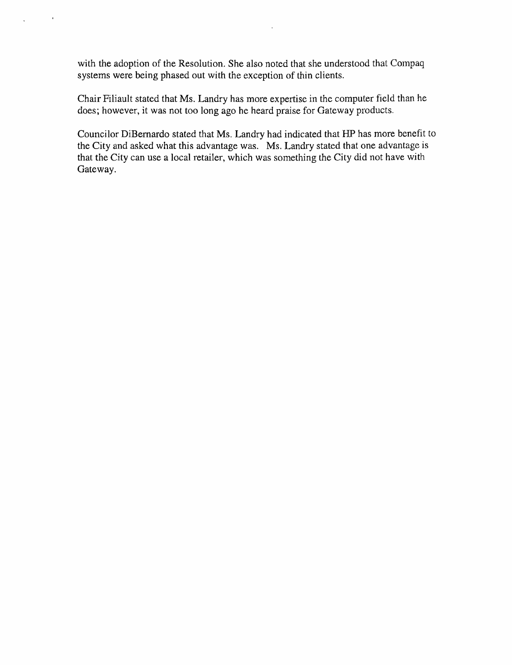with the adoption of the Resolution. She also noted that she understood that Compaq systems were being phased out with the exception of thin clients.

 $\bar{1}$ 

Chair Filiault stated that Ms. Landry has more expertise in the computer field than he does; however, it was not too long ago he heard praise for Gateway products.

Councilor DiBernardo stated that Ms. Landry had indicated that HP has more benefit to the City and asked what this advantage was. Ms. Landry stated that one advantage is that the City can use a local retailer, which was something the City did not have with Gateway.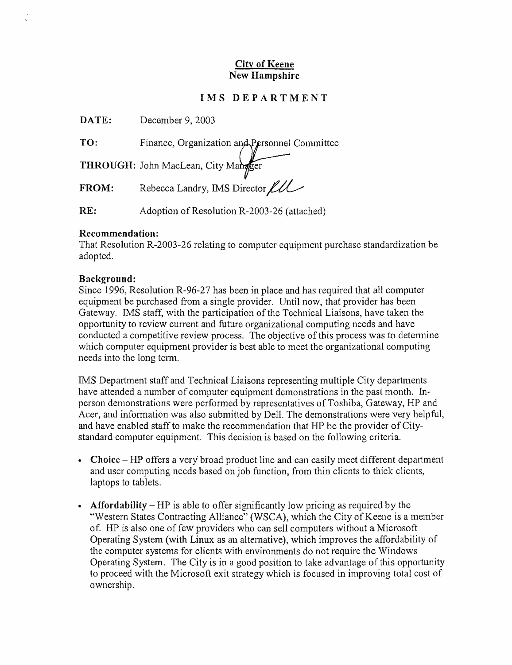## City of Keene New Hampshire

# IMS DEPARTMENT

DATE: December 9, 2003

TO: Finance, Organization and Personnel Committee

THROUGH: John MacLean, City Mangger

THROUGH: John MacLean, City Manager<br>FROM: Rebecca Landry, IMS Director LLL

RE: Adoption of Resolution R-2003-26 (attached)

### Recommendation:

That Resolution R-2003-26 relating to computer equipment purchase standardization be adopted.

### Background:

Since 1996, Resolution R-96-27 has been in place and has required that all computer equipment be purchased from a single provider. Until now, that provider has been Gateway. IMS staff, with the participation of the Technical Liaisons, have taken the opportunity to review current and future organizational computing needs and have conducted a competitive review process. The objective of this process was to determine which computer equipment provider is best able to meet the organizational computing needs into the long term.

IMS Department staff and Technical Liaisons representing multiple City departments have attended a number of computer equipment demonstrations in the past month. Inperson demonstrations were performed by representatives of Toshiba, Gateway, HP and Acer, and information was also submitted by DelL The demonstrations were very helpful, and have enabled staff to make the recommendation that HP be the provider of Citystandard computer equipment. This decision is based on the following criteria.

- Choice  $-HP$  offers a very broad product line and can easily meet different department and user computing needs based on job function, from thin clients to thick clients, laptops to tablets.
- **Affordability** HP is able to offer significantly low pricing as required by the "Western States Contracting Alliance" (WSCA), which the City of Keene is a member of. HP is also one of few providers who can sell computers without a Microsoft Operating System (with Linux as an alternative), which improves the affordability of the computer systems for clients with environments do not require the Windows Operating System. The City is in a good position to take advantage of this opportunity to proceed with the Microsoft exit strategy which is focused in improving total cost of ownership.